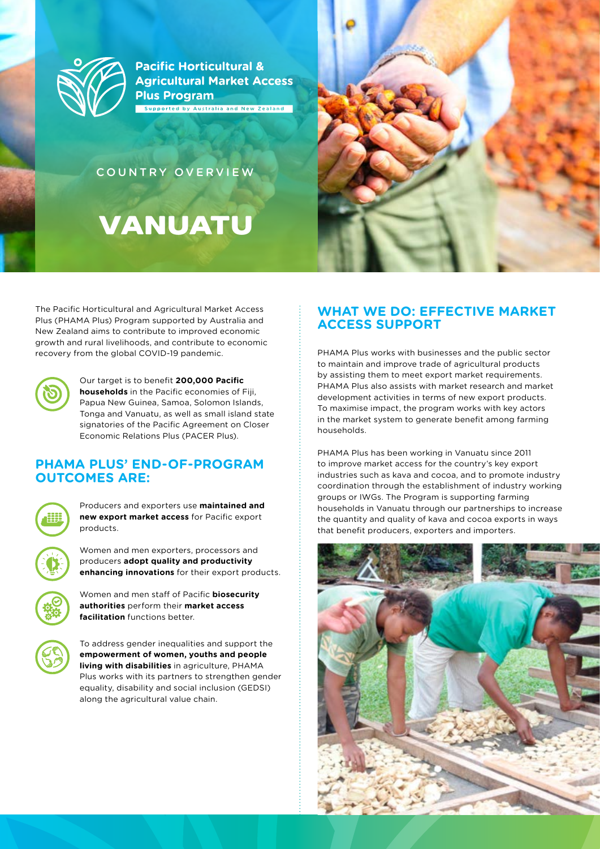

**Pacific Horticultural & Agricultural Market Access Plus Program** Supported by Australia and New Zealand

COUNTRY OVERVIEW

# Vanuatu



The Pacific Horticultural and Agricultural Market Access Plus (PHAMA Plus) Program supported by Australia and New Zealand aims to contribute to improved economic growth and rural livelihoods, and contribute to economic recovery from the global COVID-19 pandemic.



Our target is to benefit **200,000 Pacific households** in the Pacific economies of Fiji, Papua New Guinea, Samoa, Solomon Islands, Tonga and Vanuatu, as well as small island state signatories of the Pacific Agreement on Closer Economic Relations Plus (PACER Plus).

#### **PHAMA PLUS' END-OF-PROGRAM OUTCOMES ARE:**



Producers and exporters use **maintained and new export market access** for Pacific export products.

Women and men exporters, processors and producers **adopt quality and productivity enhancing innovations** for their export products.





To address gender inequalities and support the **empowerment of women, youths and people living with disabilities** in agriculture, PHAMA Plus works with its partners to strengthen gender equality, disability and social inclusion (GEDSI) along the agricultural value chain.

## **WHAT WE DO: EFFECTIVE MARKET ACCESS SUPPORT**

PHAMA Plus works with businesses and the public sector to maintain and improve trade of agricultural products by assisting them to meet export market requirements. PHAMA Plus also assists with market research and market development activities in terms of new export products. To maximise impact, the program works with key actors in the market system to generate benefit among farming households.

PHAMA Plus has been working in Vanuatu since 2011 to improve market access for the country's key export industries such as kava and cocoa, and to promote industry coordination through the establishment of industry working groups or IWGs. The Program is supporting farming households in Vanuatu through our partnerships to increase the quantity and quality of kava and cocoa exports in ways that benefit producers, exporters and importers.